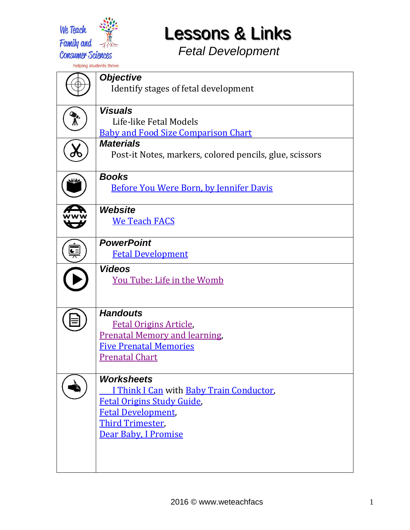

## **Lessons & Links**

*Fetal Development*

|                               | <b>Objective</b>                                        |
|-------------------------------|---------------------------------------------------------|
|                               | Identify stages of fetal development                    |
|                               |                                                         |
|                               | <b>Visuals</b>                                          |
|                               | Life-like Fetal Models                                  |
|                               | <b>Baby and Food Size Comparison Chart</b>              |
|                               | <b>Materials</b>                                        |
|                               | Post-it Notes, markers, colored pencils, glue, scissors |
|                               |                                                         |
|                               | <b>Books</b>                                            |
|                               | <b>Before You Were Born, by Jennifer Davis</b>          |
|                               |                                                         |
|                               | Website                                                 |
|                               | <b>We Teach FACS</b>                                    |
|                               |                                                         |
| $rac{\mathbf{L}}{\mathbf{L}}$ | <b>PowerPoint</b>                                       |
|                               | <b>Fetal Development</b>                                |
|                               | <b>Videos</b>                                           |
|                               | You Tube: Life in the Womb                              |
|                               |                                                         |
|                               |                                                         |
|                               | <b>Handouts</b>                                         |
|                               | <b>Fetal Origins Article,</b>                           |
|                               | <b>Prenatal Memory and learning,</b>                    |
|                               | <b>Five Prenatal Memories</b><br><b>Prenatal Chart</b>  |
|                               |                                                         |
|                               | <b>Worksheets</b>                                       |
|                               | I Think I Can with Baby Train Conductor,                |
|                               | <b>Fetal Origins Study Guide</b> ,                      |
|                               | <b>Fetal Development</b>                                |
|                               | <b>Third Trimester,</b>                                 |
|                               | Dear Baby, I Promise                                    |
|                               |                                                         |
|                               |                                                         |
|                               |                                                         |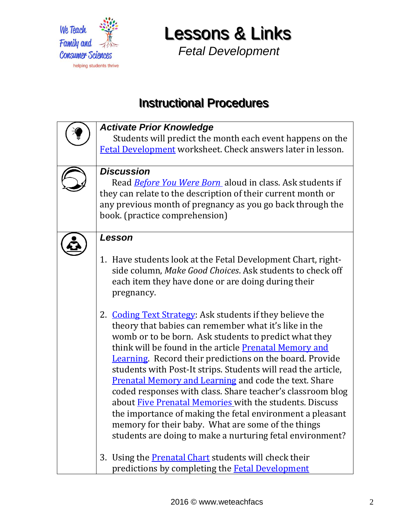

**Lessons & Links** 

*Fetal Development*

## **Instructional Procedures**

| <b>Activate Prior Knowledge</b><br>Students will predict the month each event happens on the<br><b>Fetal Development</b> worksheet. Check answers later in lesson.                                                                                                                                                                                                                                                                                                                                                                                                                                                                                                                                                                                                                                                                                                                                                                                            |
|---------------------------------------------------------------------------------------------------------------------------------------------------------------------------------------------------------------------------------------------------------------------------------------------------------------------------------------------------------------------------------------------------------------------------------------------------------------------------------------------------------------------------------------------------------------------------------------------------------------------------------------------------------------------------------------------------------------------------------------------------------------------------------------------------------------------------------------------------------------------------------------------------------------------------------------------------------------|
| <b>Discussion</b><br>Read <b>Before You Were Born</b> aloud in class. Ask students if<br>they can relate to the description of their current month or<br>any previous month of pregnancy as you go back through the<br>book. (practice comprehension)                                                                                                                                                                                                                                                                                                                                                                                                                                                                                                                                                                                                                                                                                                         |
| Lesson<br>1. Have students look at the Fetal Development Chart, right-<br>side column, Make Good Choices. Ask students to check off<br>each item they have done or are doing during their<br>pregnancy.<br>2. Coding Text Strategy: Ask students if they believe the<br>theory that babies can remember what it's like in the<br>womb or to be born. Ask students to predict what they<br>think will be found in the article Prenatal Memory and<br><b>Learning.</b> Record their predictions on the board. Provide<br>students with Post-It strips. Students will read the article,<br><b>Prenatal Memory and Learning and code the text. Share</b><br>coded responses with class. Share teacher's classroom blog<br>about Five Prenatal Memories with the students. Discuss<br>the importance of making the fetal environment a pleasant<br>memory for their baby. What are some of the things<br>students are doing to make a nurturing fetal environment? |
| 3. Using the <b>Prenatal Chart</b> students will check their<br>predictions by completing the <b>Fetal Development</b>                                                                                                                                                                                                                                                                                                                                                                                                                                                                                                                                                                                                                                                                                                                                                                                                                                        |